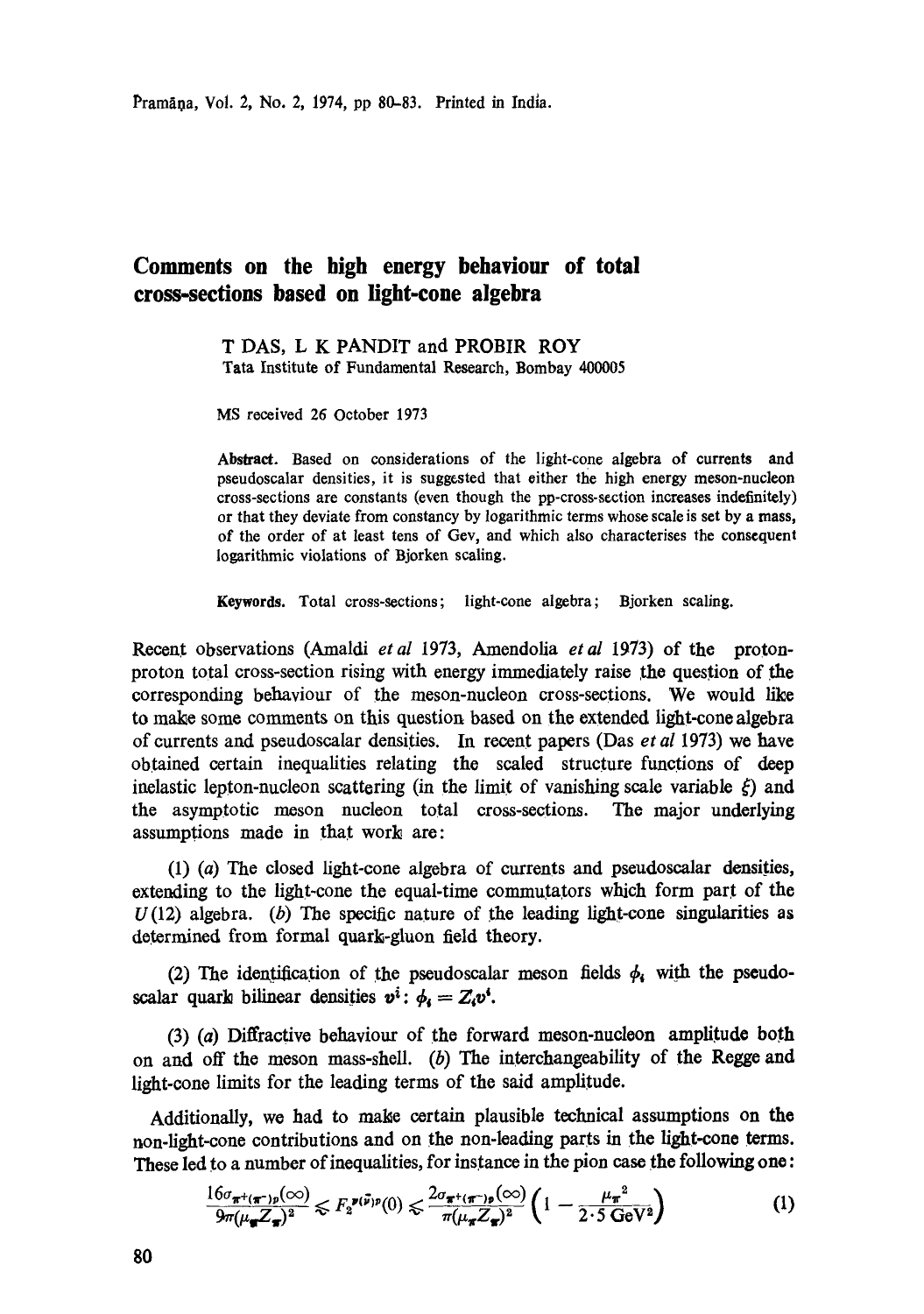## **Comments on the high energy behaviour of total cross-sections based on light-cone algebra**

T DAS, L K PANDIT and PROBIR ROY Tata Institute of Fundamental Research, Bombay 400005

MS received 26 October 1973

Abstract. Based on considerations of the light-cone algebra of currents and pseudoscalar densities, it is suggested that either the high energy meson-nucleon cross-sections are constants (even though the pp-cross-section increases indefinitely) or that they deviate from constancy by logarithmic terms whose scale is set by a **mass,**  of the order of at least tens of Gev, and which also characterises the consequent logarithmic violations of Bjorken scaling.

**Keywords.** Total cross-sections; light-cone algebra; Bjorken scaling.

Recent observations (Amaldi *etal* 1973, Amendolia *etal* 1973) of the protonproton total cross-section rising with energy immediately raise the question of the corresponding behaviour of the meson-nucleon cross-sections. We would like to make some comments on this question based on the extended light-cone algebra of currents and pseudoscalar densities. In recent papers (Das *etal* 1973) we have obtained certain inequalities relating the scaled structure functions of deep inelastic lepton-nucleon scattering (in the limit of vanishing scale variable  $\xi$ ) and the asymptotic meson nucleon total cross-sections. The major underlying assumptions made in that work are:

(1) (a) The closed light-cone algebra of currents and pseudoscalar densities, extending to the light-cone the equal-time commutators which form part of the  $U(12)$  algebra. (b) The specific nature of the leading light-cone singularities as determined from formal quark-gluon field theory.

(2) The identification of the pseudoscalar meson fields  $\phi_i$  with the pseudoscalar quark bilinear densities  $v^i$ :  $\phi_i = Z_i v^i$ .

(3) (a) Diffractive behaviour of the forward meson-nucleon amplitude both on and off the meson mass-shell. (b) The interchangeability of the Regge and light-cone limits for the leading terms of the said amplitude.

Additionally, we had to make certain plausible technical assumptions on the non-light-cone contributions and on the non-leading parts in the light-cone terms. These led to a number of inequalities, for instance in the pion case the following one:

$$
\frac{16\sigma_{\pi^+(\pi^-)\rho}(\infty)}{9\pi(\mu_{\pi}Z_{\pi})^2} \leqslant F_2^{\mathbf{z}(\vec{\nu})\rho}(0) \leqslant \frac{2\sigma_{\pi^+(\pi^-)\rho}(\infty)}{\pi(\mu_{\pi}Z_{\pi})^2} \left(1 - \frac{\mu_{\pi}^2}{2 \cdot 5 \text{ GeV}^2}\right)
$$
(1)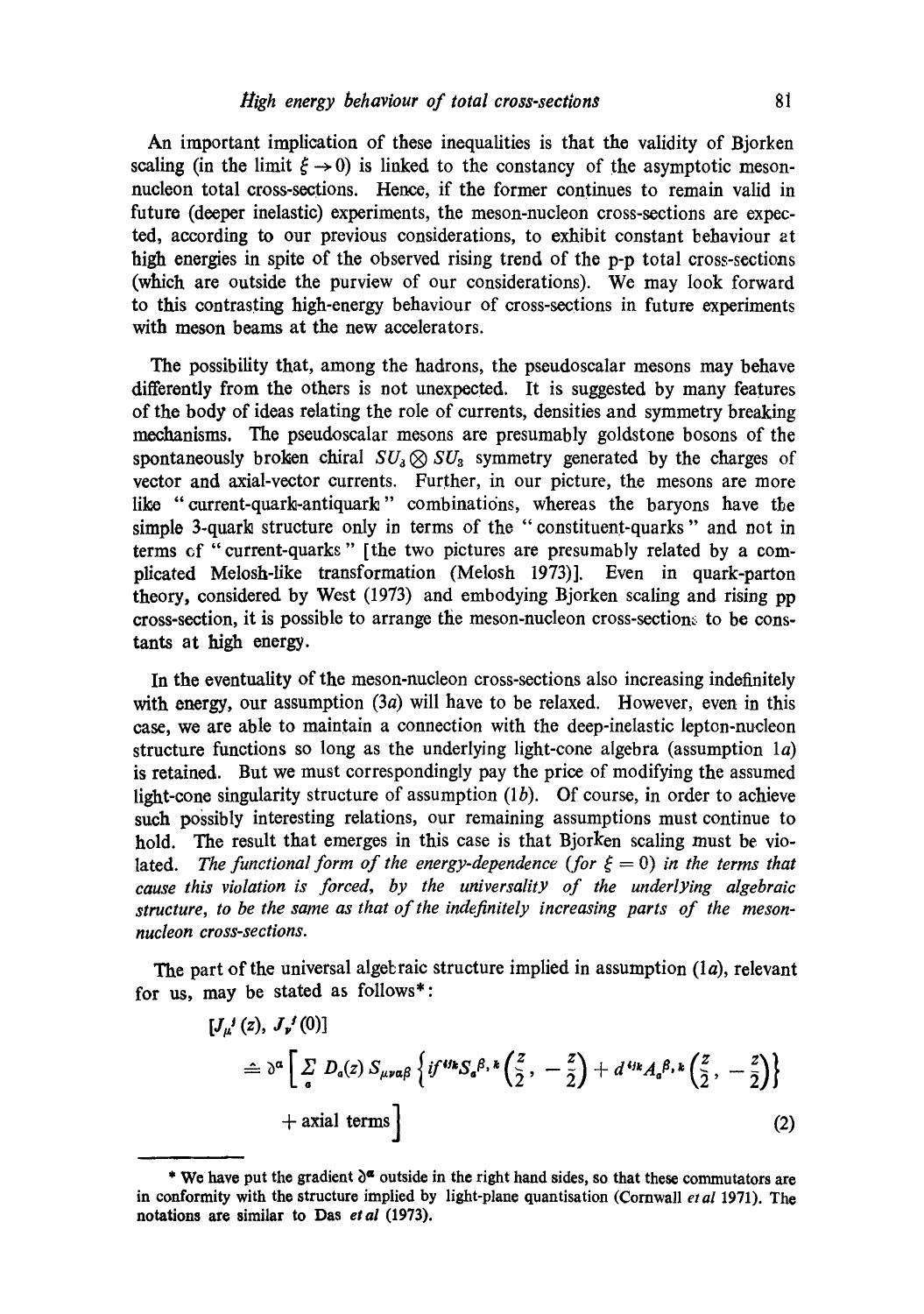An important implication of these inequalities is that the validity of Bjorken scaling (in the limit  $\xi \rightarrow 0$ ) is linked to the constancy of the asymptotic mesonnucleon total cross-sections. Hence, if the former continues to remain valid in future (deeper inelastic) experiments, the meson-nucleon cross-sections are expected, according to our previous considerations, to exhibit constant behaviour at high energies in spite of the observed rising trend of the p-p total cross-sectioas (which are outside the purview of our considerations). We may look forward to this contrasting high-energy behaviour of cross-sections in future experiments with meson beams at the new accelerators.

The possibility that, among the hadrons, the pseudoscalar mesons may behave differently from the others is not unexpected. It is suggested by many features of the body of ideas relating the role of currents, densities and symmetry breaking mechanisms. The pseudoscalar mesons are presumably goldstone bosons of the spontaneously broken chiral  $SU_3 \otimes SU_3$  symmetry generated by the charges of vector and axial-vector currents. Further, in our picture, the mesons are more like "current-quark-antiquark" combinations, whereas the baryons have the simple 3-quark structure only in terms of the "constituent-quarks" and not in terms cf "current-quarks" [the two pictures are presumably related by a complicated Melosh-Iike transformation (Melosh 1973)]. Even in quark-parton theory, considered by West (1973) and embodying Bjorken scaling and rising pp cross-section, it is possible to arrange the meson-nucleon cross-section. to be constants at high energy.

In the eventuality of the meson-nucleon cross-sections also increasing indefinitely with energy, our assumption (3*a*) will have to be relaxed. However, even in this case, we are able to maintain a connection with the deep-inelastic lepton-nucleon structure functions so long as the underlying light-cone algebra (assumption  $1a$ ) is retained. But we must correspondingly pay the price of modifying the assumed light-cone singularity structure of assumption  $(lb)$ . Of course, in order to achieve such possibly interesting relations, our remaining assumptions must continue to hold. The result that emerges in this case is that Bjorken scaling must be violated. *The functional form of the energy-dependence (for*  $\xi = 0$ *) in the terms that cause this violation is forced, by the universality of the underlying algebraic structure, to be the same as that of the indefinitely increasing parts of the mesonnucleon cross-sections.* 

The part of the universal algebraic structure implied in assumption  $(la)$ , relevant for us, may be stated as follows\*:

$$
[J_{\mu}^{j}(z), J_{\nu}^{j}(0)]
$$
\n
$$
\hat{=} \partial^{\alpha} \left[ \sum_{a} D_{a}(z) S_{\mu\nu\alpha\beta} \left\{ i f^{\prime\prime k} S_{a}^{\beta, k} \left( \frac{z}{2}, -\frac{z}{2} \right) + d^{\prime\prime k} A_{a}^{\beta, k} \left( \frac{z}{2}, -\frac{z}{2} \right) \right\}
$$
\n
$$
+ \text{axial terms} \right]
$$
\n(2)

**<sup>\*</sup>** We have put the gradient  $\delta^{\alpha}$  outside in the right hand sides, so that these commutators are in conformity with the structure implied by light-plane quantisation (Cornwall *et al* 1971). The **notations are similar to Das** *etal* **(1973).**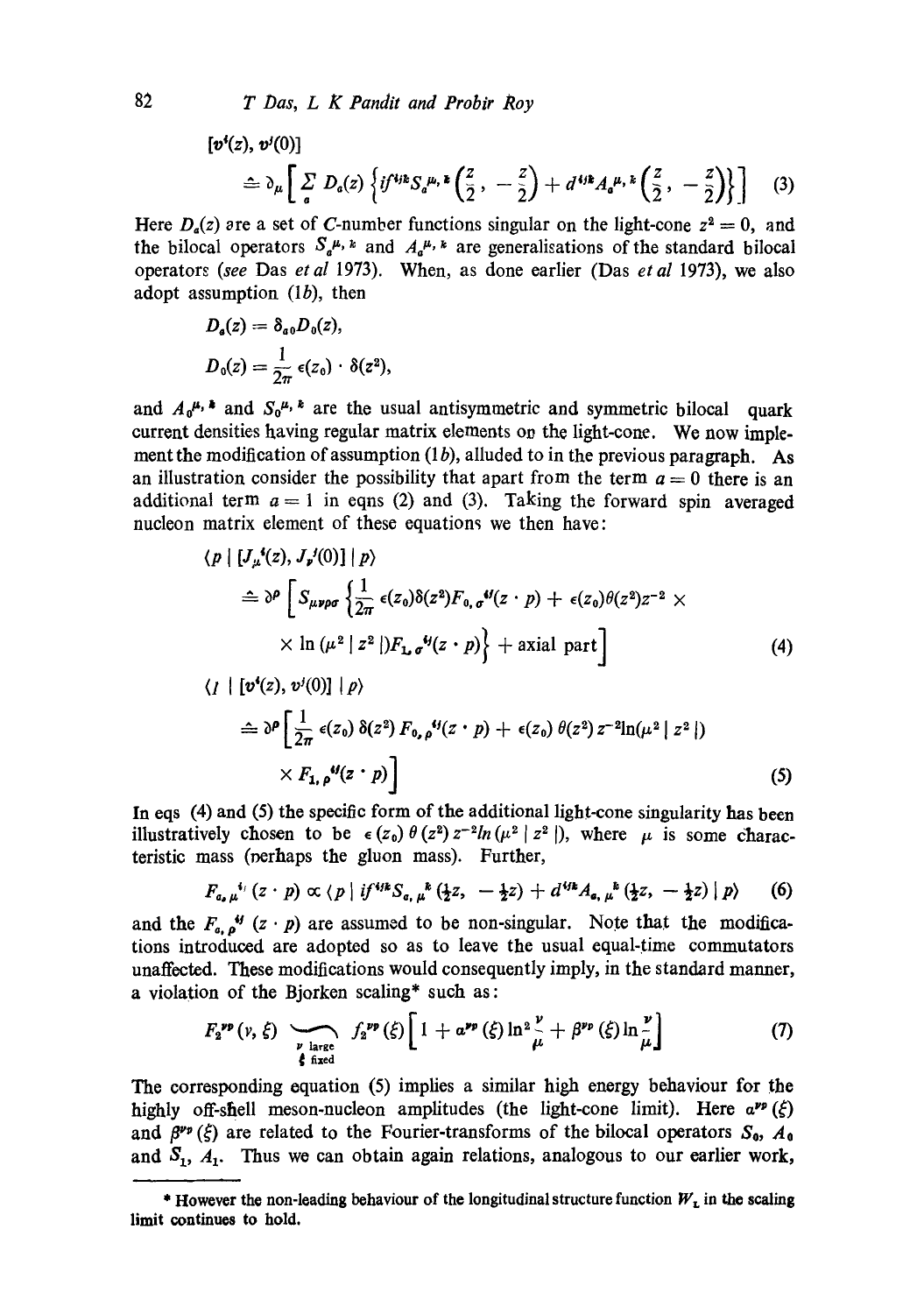$$
\begin{aligned} \left[\boldsymbol{v}^{i}(z),\,\boldsymbol{v}^{j}(0)\right] &= \partial_{\mu}\bigg[\sum_{a}D_{a}(z)\left\{if^{4jk}S_{a}{}^{\mu,\,\boldsymbol{\imath}}\left(\frac{z}{2}\,,\,-\frac{z}{2}\right) + d^{4jk}A_{a}{}^{\mu,\,\boldsymbol{\imath}}\left(\frac{z}{2}\,,\,-\frac{z}{2}\right)\right\}\bigg] \end{aligned} \tag{3}
$$

Here  $D_a(z)$  are a set of C-number functions singular on the light-cone  $z^2 = 0$ , and the bilocal operators  $S_a^{\mu, k}$  and  $A_a^{\mu, k}$  are generalisations of the standard bilocal operators *(see* Das *etal* 1973). When, as done earlier (Das *et al* 1973), we also adopt assumption  $(1b)$ , then

$$
D_{a}(z) = \delta_{a0} D_{0}(z),
$$
  
\n
$$
D_{0}(z) = \frac{1}{2\pi} \epsilon(z_{0}) \cdot \delta(z^{2}),
$$

and  $A_0^{\mu}$ ,  $\ast$  and  $S_0^{\mu}$ ,  $\ast$  are the usual antisymmetric and symmetric bilocal quark current densities having regular matrix elements on the light-cone. We now implement the modification of assumption  $(1 b)$ , alluded to in the previous paragraph. As an illustration consider the possibility that apart from the term  $a = 0$  there is an additional term  $a = 1$  in eqns (2) and (3). Taking the forward spin averaged nucleon matrix element of these equations we then have:

$$
\langle p | [J_{\mu}^{\bullet}(z), J_{\nu}^{\prime}(0)] | p \rangle
$$
\n
$$
\hat{=} \partial^{\rho} \left[ S_{\mu\nu\rho\sigma} \left\{ \frac{1}{2\pi} \epsilon(z_0) \delta(z^2) F_{0,\sigma}^{\bullet}(z \cdot p) + \epsilon(z_0) \theta(z^2) z^{-2} \times \right\} \times \ln(\mu^2 | z^2 |) F_{\mathbf{L}\sigma}^{\bullet}(z \cdot p) \right\} + \text{axial part} \right]
$$
\n
$$
\langle I | [v^{\bullet}(z), v^{\prime}(0)] | p \rangle
$$
\n
$$
\langle I | [v^{\bullet}(z), v^{\prime}(0)] | p \rangle
$$
\n
$$
(4)
$$

$$
\hat{=} \partial^{\rho} \left[ \frac{1}{2\pi} \epsilon(z_0) \, \delta(z^2) \, F_{0,\,\rho}{}^{\prime\prime}(z \cdot p) + \epsilon(z_0) \, \theta(z^2) \, z^{-2} \ln(\mu^2 \mid z^2 \mid) \times F_{1,\,\rho}{}^{\prime\prime}(z \cdot p) \right]
$$
\n
$$
(5)
$$

In eqs  $(4)$  and  $(5)$  the specific form of the additional light-cone singularity has been illustratively chosen to be  $\epsilon(z_0)\theta(z^2)z^{-2}ln(\mu^2|z^2|)$ , where  $\mu$  is some characteristic mass (oerhaps the gluon mass). Further,

$$
F_{a,\mu}^{i_1}(z \cdot p) \propto \langle p | i f^{ijk} S_{a,\mu}^{k} (\frac{1}{2}z, -\frac{1}{2}z) + d^{ijk} A_{a,\mu}^{k} (\frac{1}{2}z, -\frac{1}{2}z) | p \rangle \qquad (6)
$$

and the  $F_{a}$ ,  $g^{ij}$  (z · p) are assumed to be non-singular. Note that the modifications introduced are adopted so as to leave the usual equal-time commutators unaffected. These modifications would consequently imply, in the standard manner, a violation of the Bjorken scaling\* such as:

$$
F_2^{\nu\rho}(\nu,\xi) \sum_{\substack{\nu \text{ large} \\ \xi \text{ fixed}}} f_2^{\nu\rho}(\xi) \left[ 1 + a^{\nu\rho}(\xi) \ln^2 \frac{\nu}{\mu} + \beta^{\nu\rho}(\xi) \ln \frac{\nu}{\mu} \right] \qquad (7)
$$

The corresponding equation (5) implies a similar high energy behaviour for the highly off-shell meson-nucleon amplitudes (the light-cone limit). Here  $a^{\nu\rho}(\xi)$ and  $\beta^{\nu_p}(\xi)$  are related to the Fourier-transforms of the bilocal operators  $S_0$ ,  $A_0$ and  $S_1$ ,  $A_1$ . Thus we can obtain again relations, analogous to our earlier work,

<sup>\*</sup> However the non-leading behaviour of the longitudinal structure function  $W<sub>L</sub>$  in the scaling **limit continues to hold.**